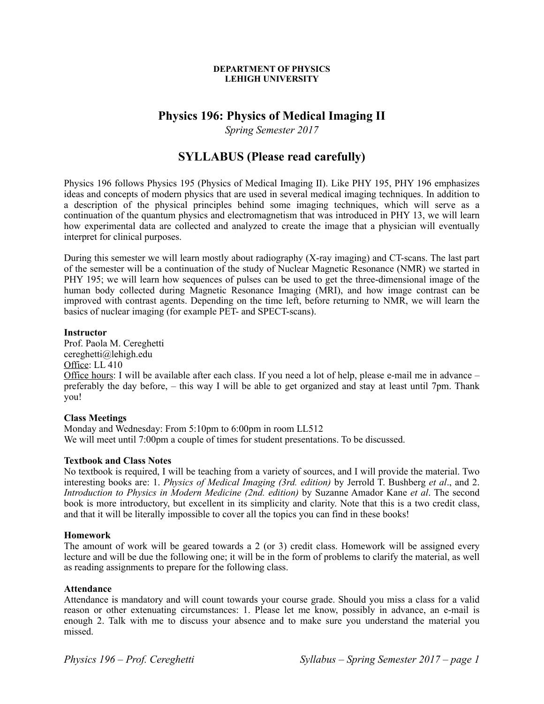#### **DEPARTMENT OF PHYSICS LEHIGH UNIVERSITY**

# **Physics 196: Physics of Medical Imaging II**

*Spring Semester 2017*

# **SYLLABUS (Please read carefully)**

Physics 196 follows Physics 195 (Physics of Medical Imaging II). Like PHY 195, PHY 196 emphasizes ideas and concepts of modern physics that are used in several medical imaging techniques. In addition to a description of the physical principles behind some imaging techniques, which will serve as a continuation of the quantum physics and electromagnetism that was introduced in PHY 13, we will learn how experimental data are collected and analyzed to create the image that a physician will eventually interpret for clinical purposes.

During this semester we will learn mostly about radiography (X-ray imaging) and CT-scans. The last part of the semester will be a continuation of the study of Nuclear Magnetic Resonance (NMR) we started in PHY 195; we will learn how sequences of pulses can be used to get the three-dimensional image of the human body collected during Magnetic Resonance Imaging (MRI), and how image contrast can be improved with contrast agents. Depending on the time left, before returning to NMR, we will learn the basics of nuclear imaging (for example PET- and SPECT-scans).

## **Instructor**

Prof. Paola M. Cereghetti cereghetti@lehigh.edu Office: LL 410 Office hours: I will be available after each class. If you need a lot of help, please e-mail me in advance – preferably the day before, – this way I will be able to get organized and stay at least until 7pm. Thank you!

# **Class Meetings**

Monday and Wednesday: From 5:10pm to 6:00pm in room LL512 We will meet until 7:00pm a couple of times for student presentations. To be discussed.

#### **Textbook and Class Notes**

No textbook is required, I will be teaching from a variety of sources, and I will provide the material. Two interesting books are: 1. *Physics of Medical Imaging (3rd. edition)* by Jerrold T. Bushberg *et al*., and 2. *Introduction to Physics in Modern Medicine (2nd. edition)* by Suzanne Amador Kane *et al*. The second book is more introductory, but excellent in its simplicity and clarity. Note that this is a two credit class, and that it will be literally impossible to cover all the topics you can find in these books!

# **Homework**

The amount of work will be geared towards a 2 (or 3) credit class. Homework will be assigned every lecture and will be due the following one; it will be in the form of problems to clarify the material, as well as reading assignments to prepare for the following class.

#### **Attendance**

Attendance is mandatory and will count towards your course grade. Should you miss a class for a valid reason or other extenuating circumstances: 1. Please let me know, possibly in advance, an e-mail is enough 2. Talk with me to discuss your absence and to make sure you understand the material you missed.